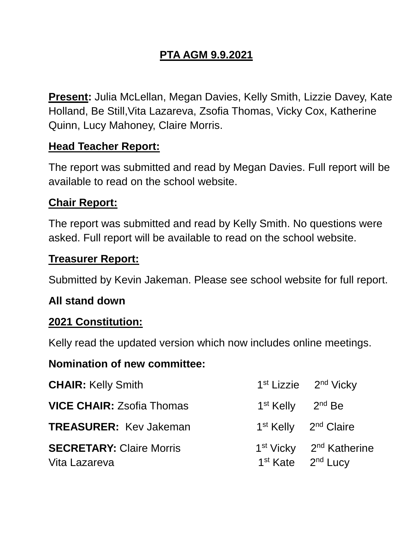# **PTA AGM 9.9.2021**

**Present:** Julia McLellan, Megan Davies, Kelly Smith, Lizzie Davey, Kate Holland, Be Still,Vita Lazareva, Zsofia Thomas, Vicky Cox, Katherine Quinn, Lucy Mahoney, Claire Morris.

# **Head Teacher Report:**

The report was submitted and read by Megan Davies. Full report will be available to read on the school website.

### **Chair Report:**

The report was submitted and read by Kelly Smith. No questions were asked. Full report will be available to read on the school website.

#### **Treasurer Report:**

Submitted by Kevin Jakeman. Please see school website for full report.

#### **All stand down**

#### **2021 Constitution:**

Kelly read the updated version which now includes online meetings.

#### **Nomination of new committee:**

| <b>CHAIR: Kelly Smith</b>                        |                                           | 1 <sup>st</sup> Lizzie 2 <sup>nd</sup> Vicky    |
|--------------------------------------------------|-------------------------------------------|-------------------------------------------------|
| <b>VICE CHAIR: Zsofia Thomas</b>                 | $1st$ Kelly $2nd$ Be                      |                                                 |
| <b>TREASURER: Kev Jakeman</b>                    |                                           | 1 <sup>st</sup> Kelly 2 <sup>nd</sup> Claire    |
| <b>SECRETARY: Claire Morris</b><br>Vita Lazareva | 1 <sup>st</sup> Kate 2 <sup>nd</sup> Lucy | 1 <sup>st</sup> Vicky 2 <sup>nd</sup> Katherine |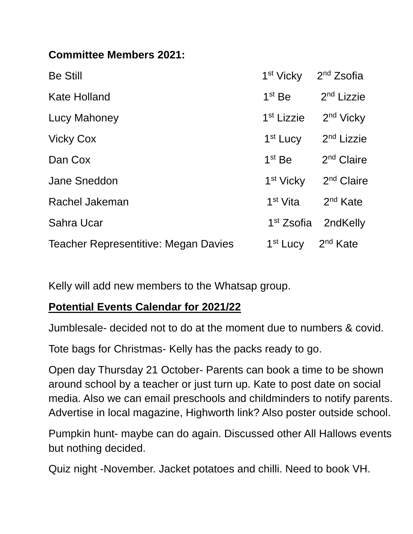# **Committee Members 2021:**

| <b>Be Still</b>                             | 1 <sup>st</sup> Vicky  | 2 <sup>nd</sup> Zsofia |
|---------------------------------------------|------------------------|------------------------|
| <b>Kate Holland</b>                         | $1st$ Be               | 2 <sup>nd</sup> Lizzie |
| <b>Lucy Mahoney</b>                         | 1 <sup>st</sup> Lizzie | 2 <sup>nd</sup> Vicky  |
| <b>Vicky Cox</b>                            | 1 <sup>st</sup> Lucy   | 2 <sup>nd</sup> Lizzie |
| Dan Cox                                     | $1st$ Be               | $2nd$ Claire           |
| <b>Jane Sneddon</b>                         | 1 <sup>st</sup> Vicky  | 2 <sup>nd</sup> Claire |
| Rachel Jakeman                              | 1 <sup>st</sup> Vita   | 2 <sup>nd</sup> Kate   |
| Sahra Ucar                                  | 1 <sup>st</sup> Zsofia | 2ndKelly               |
| <b>Teacher Representitive: Megan Davies</b> | 1 <sup>st</sup> Lucy   | $2nd$ Kate             |

Kelly will add new members to the Whatsap group.

# **Potential Events Calendar for 2021/22**

Jumblesale- decided not to do at the moment due to numbers & covid.

Tote bags for Christmas- Kelly has the packs ready to go.

Open day Thursday 21 October- Parents can book a time to be shown around school by a teacher or just turn up. Kate to post date on social media. Also we can email preschools and childminders to notify parents. Advertise in local magazine, Highworth link? Also poster outside school.

Pumpkin hunt- maybe can do again. Discussed other All Hallows events but nothing decided.

Quiz night -November. Jacket potatoes and chilli. Need to book VH.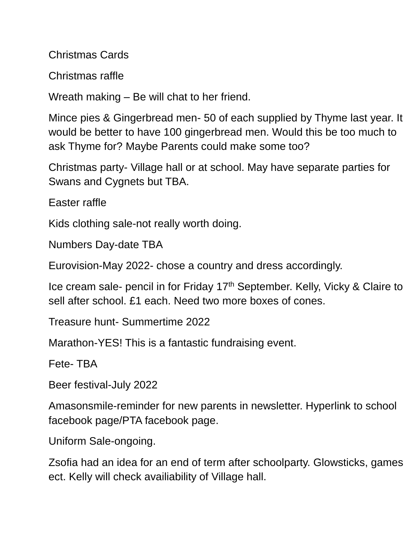Christmas Cards

Christmas raffle

Wreath making – Be will chat to her friend.

Mince pies & Gingerbread men- 50 of each supplied by Thyme last year. It would be better to have 100 gingerbread men. Would this be too much to ask Thyme for? Maybe Parents could make some too?

Christmas party- Village hall or at school. May have separate parties for Swans and Cygnets but TBA.

Easter raffle

Kids clothing sale-not really worth doing.

Numbers Day-date TBA

Eurovision-May 2022- chose a country and dress accordingly.

Ice cream sale- pencil in for Friday 17th September. Kelly, Vicky & Claire to sell after school. £1 each. Need two more boxes of cones.

Treasure hunt- Summertime 2022

Marathon-YES! This is a fantastic fundraising event.

Fete- TBA

Beer festival-July 2022

Amasonsmile-reminder for new parents in newsletter. Hyperlink to school facebook page/PTA facebook page.

Uniform Sale-ongoing.

Zsofia had an idea for an end of term after schoolparty. Glowsticks, games ect. Kelly will check availiability of Village hall.